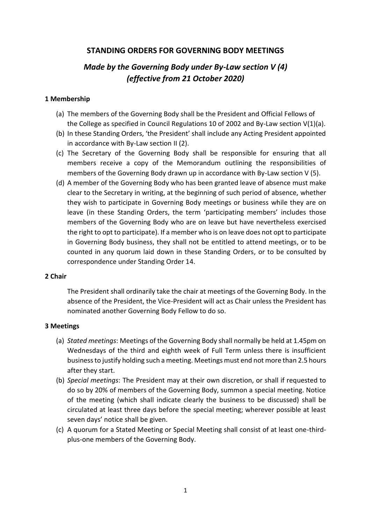## **STANDING ORDERS FOR GOVERNING BODY MEETINGS**

# *Made by the Governing Body under By-Law section V (4) (effective from 21 October 2020)*

## **1 Membership**

- (a) The members of the Governing Body shall be the President and Official Fellows of the College as specified in Council Regulations 10 of 2002 and By-Law section  $V(1)(a)$ .
- (b) In these Standing Orders, 'the President' shall include any Acting President appointed in accordance with By-Law section II (2).
- (c) The Secretary of the Governing Body shall be responsible for ensuring that all members receive a copy of the Memorandum outlining the responsibilities of members of the Governing Body drawn up in accordance with By-Law section V (5).
- (d) A member of the Governing Body who has been granted leave of absence must make clear to the Secretary in writing, at the beginning of such period of absence, whether they wish to participate in Governing Body meetings or business while they are on leave (in these Standing Orders, the term 'participating members' includes those members of the Governing Body who are on leave but have nevertheless exercised the right to opt to participate). If a member who is on leave does not opt to participate in Governing Body business, they shall not be entitled to attend meetings, or to be counted in any quorum laid down in these Standing Orders, or to be consulted by correspondence under Standing Order 14.

#### **2 Chair**

The President shall ordinarily take the chair at meetings of the Governing Body. In the absence of the President, the Vice-President will act as Chair unless the President has nominated another Governing Body Fellow to do so.

#### **3 Meetings**

- (a) *Stated meetings*: Meetings of the Governing Body shall normally be held at 1.45pm on Wednesdays of the third and eighth week of Full Term unless there is insufficient business to justify holding such a meeting. Meetings must end not more than 2.5 hours after they start.
- (b) *Special meetings*: The President may at their own discretion, or shall if requested to do so by 20% of members of the Governing Body, summon a special meeting. Notice of the meeting (which shall indicate clearly the business to be discussed) shall be circulated at least three days before the special meeting; wherever possible at least seven days' notice shall be given.
- (c) A quorum for a Stated Meeting or Special Meeting shall consist of at least one-thirdplus-one members of the Governing Body.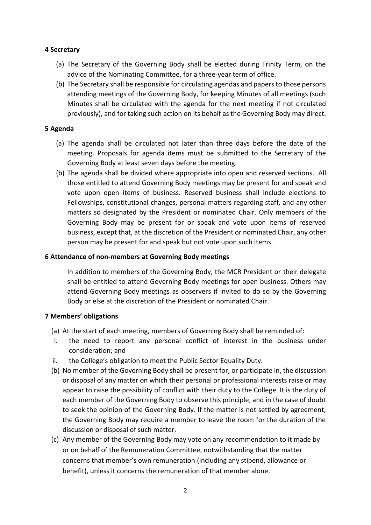## **4 Secretary**

- (a) The Secretary of the Governing Body shall be elected during Trinity Term, on the advice of the Nominating Committee, for a three-year term of office.
- (b) The Secretary shall be responsible for circulating agendas and papers to those persons attending meetings of the Governing Body, for keeping Minutes of all meetings (such Minutes shall be circulated with the agenda for the next meeting if not circulated previously), and for taking such action on its behalf as the Governing Body may direct.

#### **5 Agenda**

- (a) The agenda shall be circulated not later than three days before the date of the meeting. Proposals for agenda items must be submitted to the Secretary of the Governing Body at least seven days before the meeting.
- (b) The agenda shall be divided where appropriate into open and reserved sections. All those entitled to attend Governing Body meetings may be present for and speak and vote upon open items of business. Reserved business shall include elections to Fellowships, constitutional changes, personal matters regarding staff, and any other matters so designated by the President or nominated Chair. Only members of the Governing Body may be present for or speak and vote upon items of reserved business, except that, at the discretion of the President or nominated Chair, any other person may be present for and speak but not vote upon such items.

#### **6 Attendance of non-members at Governing Body meetings**

In addition to members of the Governing Body, the MCR President or their delegate shall be entitled to attend Governing Body meetings for open business. Others may attend Governing Body meetings as observers if invited to do so by the Governing Body or else at the discretion of the President or nominated Chair.

## **7 Members' obligations**

- (a) At the start of each meeting, members of Governing Body shall be reminded of:
- i. the need to report any personal conflict of interest in the business under consideration; and
- ii. the College's obligation to meet the Public Sector Equality Duty.
- (b) No member of the Governing Body shall be present for, or participate in, the discussion or disposal of any matter on which their personal or professional interests raise or may appear to raise the possibility of conflict with their duty to the College. It is the duty of each member of the Governing Body to observe this principle, and in the case of doubt to seek the opinion of the Governing Body. If the matter is not settled by agreement, the Governing Body may require a member to leave the room for the duration of the discussion or disposal of such matter.
- (c) Any member of the Governing Body may vote on any recommendation to it made by or on behalf of the Remuneration Committee, notwithstanding that the matter concerns that member's own remuneration (including any stipend, allowance or benefit), unless it concerns the remuneration of that member alone.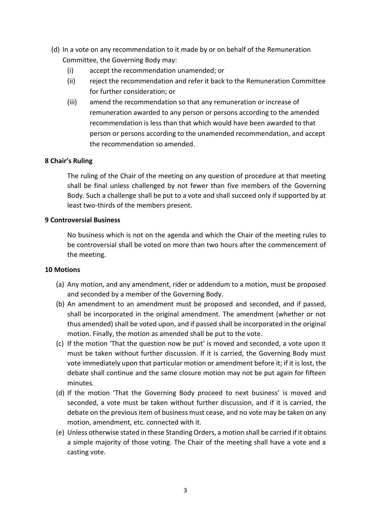- (d) In a vote on any recommendation to it made by or on behalf of the Remuneration Committee, the Governing Body may:
	- (i) accept the recommendation unamended; or
	- (ii) reject the recommendation and refer it back to the Remuneration Committee for further consideration; or
	- (iii) amend the recommendation so that any remuneration or increase of remuneration awarded to any person or persons according to the amended recommendation is less than that which would have been awarded to that person or persons according to the unamended recommendation, and accept the recommendation so amended.

## **8 Chair's Ruling**

The ruling of the Chair of the meeting on any question of procedure at that meeting shall be final unless challenged by not fewer than five members of the Governing Body. Such a challenge shall be put to a vote and shall succeed only if supported by at least two-thirds of the members present.

#### **9 Controversial Business**

No business which is not on the agenda and which the Chair of the meeting rules to be controversial shall be voted on more than two hours after the commencement of the meeting.

#### **10 Motions**

- (a) Any motion, and any amendment, rider or addendum to a motion, must be proposed and seconded by a member of the Governing Body.
- (b) An amendment to an amendment must be proposed and seconded, and if passed, shall be incorporated in the original amendment. The amendment (whether or not thus amended) shall be voted upon, and if passed shall be incorporated in the original motion. Finally, the motion as amended shall be put to the vote.
- (c) If the motion 'That the question now be put' is moved and seconded, a vote upon it must be taken without further discussion. If it is carried, the Governing Body must vote immediately upon that particular motion or amendment before it; if it is lost, the debate shall continue and the same closure motion may not be put again for fifteen minutes.
- (d) If the motion 'That the Governing Body proceed to next business' is moved and seconded, a vote must be taken without further discussion, and if it is carried, the debate on the previous item of business must cease, and no vote may be taken on any motion, amendment, etc. connected with it.
- (e) Unless otherwise stated in these Standing Orders, a motion shall be carried if it obtains a simple majority of those voting. The Chair of the meeting shall have a vote and a casting vote.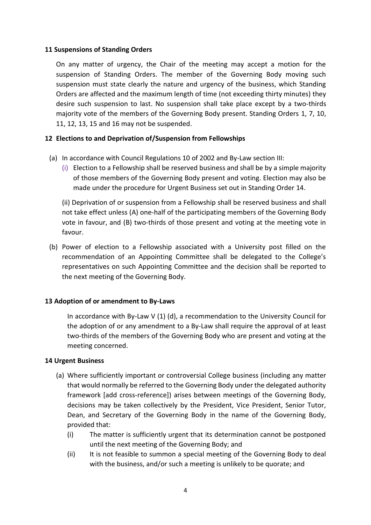#### **11 Suspensions of Standing Orders**

On any matter of urgency, the Chair of the meeting may accept a motion for the suspension of Standing Orders. The member of the Governing Body moving such suspension must state clearly the nature and urgency of the business, which Standing Orders are affected and the maximum length of time (not exceeding thirty minutes) they desire such suspension to last. No suspension shall take place except by a two-thirds majority vote of the members of the Governing Body present. Standing Orders 1, 7, 10, 11, 12, 13, 15 and 16 may not be suspended.

## **12 Elections to and Deprivation of/Suspension from Fellowships**

- (a) In accordance with Council Regulations 10 of 2002 and By-Law section III:
	- (i) Election to a Fellowship shall be reserved business and shall be by a simple majority of those members of the Governing Body present and voting. Election may also be made under the procedure for Urgent Business set out in Standing Order 14.

(ii) Deprivation of or suspension from a Fellowship shall be reserved business and shall not take effect unless (A) one-half of the participating members of the Governing Body vote in favour, and (B) two-thirds of those present and voting at the meeting vote in favour.

(b) Power of election to a Fellowship associated with a University post filled on the recommendation of an Appointing Committee shall be delegated to the College's representatives on such Appointing Committee and the decision shall be reported to the next meeting of the Governing Body.

## **13 Adoption of or amendment to By-Laws**

In accordance with By-Law V  $(1)$   $(d)$ , a recommendation to the University Council for the adoption of or any amendment to a By-Law shall require the approval of at least two-thirds of the members of the Governing Body who are present and voting at the meeting concerned.

#### **14 Urgent Business**

- (a) Where sufficiently important or controversial College business (including any matter that would normally be referred to the Governing Body under the delegated authority framework [add cross-reference]) arises between meetings of the Governing Body, decisions may be taken collectively by the President, Vice President, Senior Tutor, Dean, and Secretary of the Governing Body in the name of the Governing Body, provided that:
	- (i) The matter is sufficiently urgent that its determination cannot be postponed until the next meeting of the Governing Body; and
	- (ii) It is not feasible to summon a special meeting of the Governing Body to deal with the business, and/or such a meeting is unlikely to be quorate; and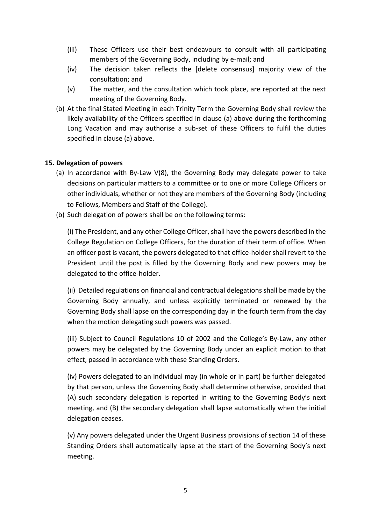- (iii) These Officers use their best endeavours to consult with all participating members of the Governing Body, including by e-mail; and
- (iv) The decision taken reflects the [delete consensus] majority view of the consultation; and
- (v) The matter, and the consultation which took place, are reported at the next meeting of the Governing Body.
- (b) At the final Stated Meeting in each Trinity Term the Governing Body shall review the likely availability of the Officers specified in clause (a) above during the forthcoming Long Vacation and may authorise a sub-set of these Officers to fulfil the duties specified in clause (a) above.

## **15. Delegation of powers**

- (a) In accordance with By-Law V(8), the Governing Body may delegate power to take decisions on particular matters to a committee or to one or more College Officers or other individuals, whether or not they are members of the Governing Body (including to Fellows, Members and Staff of the College).
- (b) Such delegation of powers shall be on the following terms:

(i) The President, and any other College Officer, shall have the powers described in the College Regulation on College Officers, for the duration of their term of office. When an officer post is vacant, the powers delegated to that office-holder shall revert to the President until the post is filled by the Governing Body and new powers may be delegated to the office-holder.

(ii) Detailed regulations on financial and contractual delegations shall be made by the Governing Body annually, and unless explicitly terminated or renewed by the Governing Body shall lapse on the corresponding day in the fourth term from the day when the motion delegating such powers was passed.

(iii) Subject to Council Regulations 10 of 2002 and the College's By-Law, any other powers may be delegated by the Governing Body under an explicit motion to that effect, passed in accordance with these Standing Orders.

(iv) Powers delegated to an individual may (in whole or in part) be further delegated by that person, unless the Governing Body shall determine otherwise, provided that (A) such secondary delegation is reported in writing to the Governing Body's next meeting, and (B) the secondary delegation shall lapse automatically when the initial delegation ceases.

(v) Any powers delegated under the Urgent Business provisions of section 14 of these Standing Orders shall automatically lapse at the start of the Governing Body's next meeting.